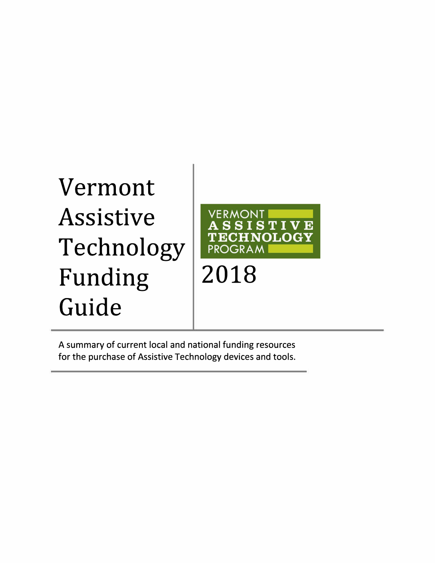## Vermont Assistive Technology Funding 2018 Guide



A summary of current local and national funding resources for the purchase of Assistive Technology devices and tools.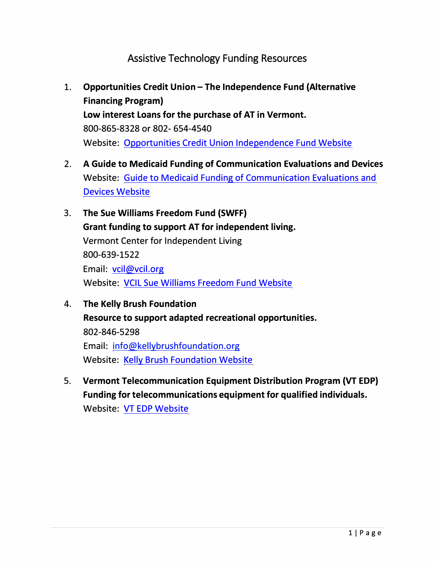## Assistive Technology Funding Resources

- 1. Opportunities Credit Union The Independence Fund (Alternative **Financing Program) Low interest Loans for the purchase of AT in Vermont.** 800-865-8328 or 802- 654-4540 Website: Opportunities Credit Union Independence Fund Website
- **2. A Guide to Medicaid Funding of Communication Evaluations and Devices** Website: Guide to Medicaid Funding of Communication Evaluations and Devices Website
- **3. The Sue Williams Freedom Fund (SWFF) Grant funding to support AT for independent living.** Vermont Center for Independent Living 800-639-1522 Email: vcil@vcil.org Website: VCIL Sue Williams Freedom Fund Website
- **4. The Kelly Brush Foundation Resource to support adapted recreational opportunities.** 802-846-5298 Email: info@kellybrushfoundation.org Website: Kelly Brush Foundation Website
- **5. Vermont Telecommunication Equipment Distribution Program (VT EDP) Funding for telecommunications equipment for qualified individuals.** Website: VT EDP Website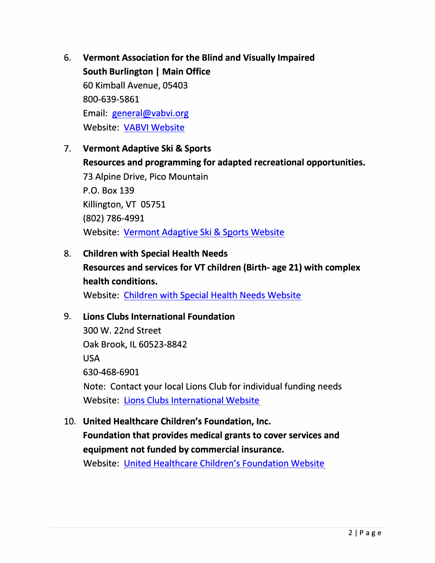- 6. **Vermont Association for the Blind and Visually Impaired South Burlington** I **Main Office** 60 Kimball Avenue, 05403 800-639-5861 Email: general@vabvi.org Website: VABVI Website
- 7. **Vermont Adaptive Ski & Sports Resources and programming for adapted recreational opportunities.** 73 Alpine Drive, Pico Mountain P.O. Box 139 Killington, VT 05751 {802) 786-4991 Website: Vermont Adaptive Ski & Sports Website
- 8. **Children with Special Health Needs Resources and services for VT children (Birth- age 21) with complex health conditions.** Website: Children with Special Health Needs Website

## 9. **Lions Clubs International Foundation**

300 W. 22nd Street Oak Brook, IL 60523-8842 USA 630-468-6901 Note: Contact your local Lions Club for individual funding needs Website: Lions Clubs International Website

10. **United Healthcare Children's Foundation, Inc.**

**Foundation that provides medical grants to cover services and equipment not funded by commercial insurance.**

Website: United Healthcare Children's Foundation Website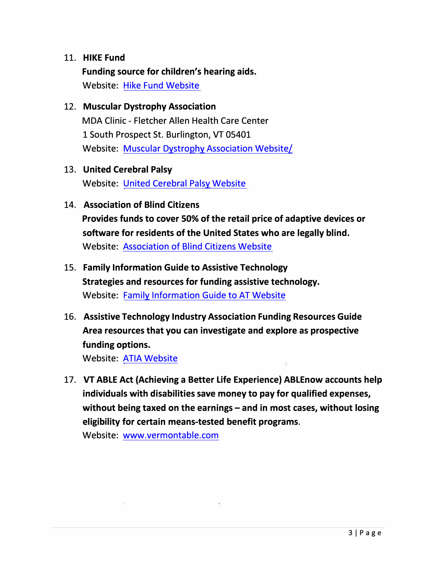## 11. **HIKE Fund**

**Funding source for children's hearing aids.** Website: Hike Fund Website

12. **Muscular Dystrophy Association**

MDA Clinic - Fletcher Allen Health Care Center 1 South Prospect St. Burlington, VT 05401 Website: Muscular Dystrophy Association Website/

13. **United Cerebral Palsy**

Website: United Cerebral Palsy Website

14. **Association of Blind Citizens**

**Provides funds to cover 50% of the retail price of adaptive devices or software for residents of the United States who are legally blind.**  Website: Association of Blind Citizens Website

- 15. **Family Information Guide to Assistive Technology Strategies and resources for funding assistive technology.** Website: Family Information Guide to AT Website
- 16. **Assistive Technology Industry Association Funding Resources Guide Area resources that you can investigate and explore as prospective funding options.**

Website: ATIA Website

17. **VT ABLE Act (Achieving a Better Life Experience) ABLEnow accounts help individuals with disabilities save money to pay for qualified expenses,**  without being taxed on the earnings – and in most cases, without losing **eligibility for certain means-tested benefit programs.**

Website: www.vermontable.com